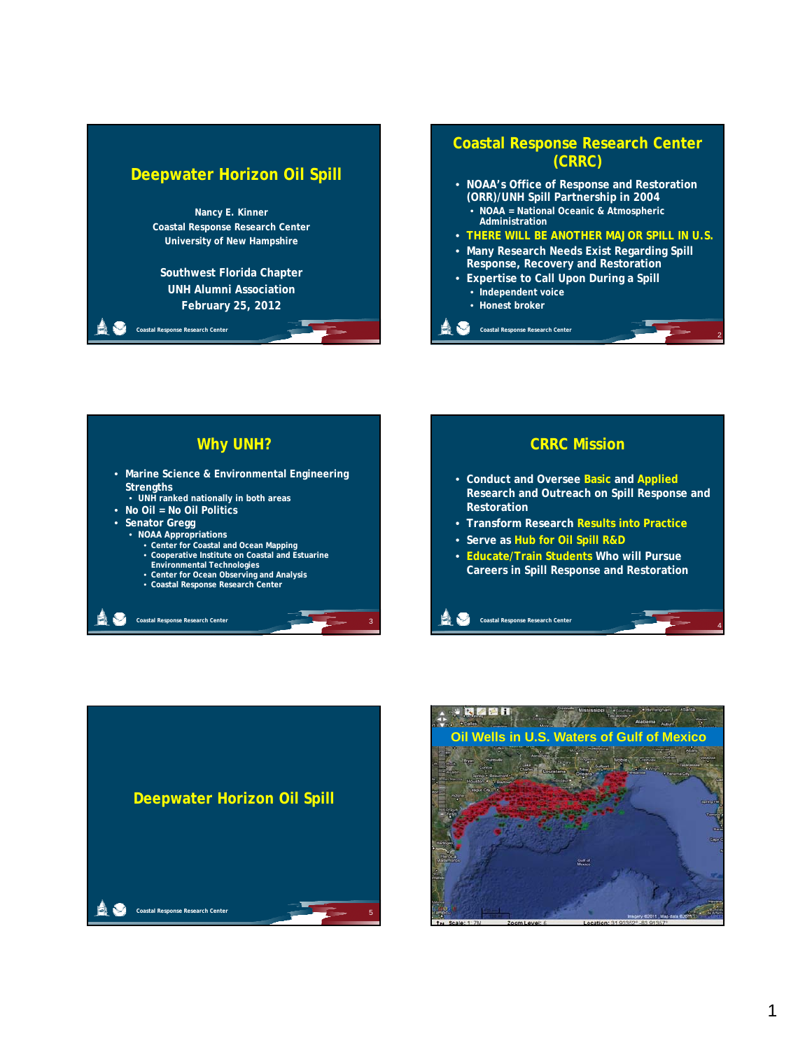#### **Deepwater Horizon Oil Spill**



#### **Coastal Response Research Center (CRRC)**

- **NOAA's Office of Response and Restoration (ORR)/UNH Spill Partnership in 2004** • **NOAA = National Oceanic & Atmospheric Administration**
- **THERE WILL BE ANOTHER MAJOR SPILL IN U.S.**

2

4

- **Many Research Needs Exist Regarding Spill Response, Recovery and Restoration**
- **Expertise to Call Upon During a Spill** • **Independent voice**
	- **Honest broker**

**Coastal Response Research Center**

#### **Why UNH?**

- **Marine Science & Environmental Engineering Strengths**
- **UNH ranked nationally in both areas**
- **No Oil = No Oil Politics**
- **Senator Gregg**

**Coastal Response Research Center** 

- 
- **NOAA Appropriations Center for Coastal and Ocean Mapping Cooperative Institute on Coastal and Estuarine**

3

- 
- **Environmental Technologies Center for Ocean Observing and Analysis Coastal Response Research Center**
- 

#### • **Conduct and Oversee Basic and Applied Research and Outreach on Spill Response and Restoration** • **Transform Research Results into Practice**

**CRRC Mission**

• **Serve as Hub for Oil Spill R&D**

**Coastal Response Research Center** 

• **Educate/Train Students Who will Pursue Careers in Spill Response and Restoration**



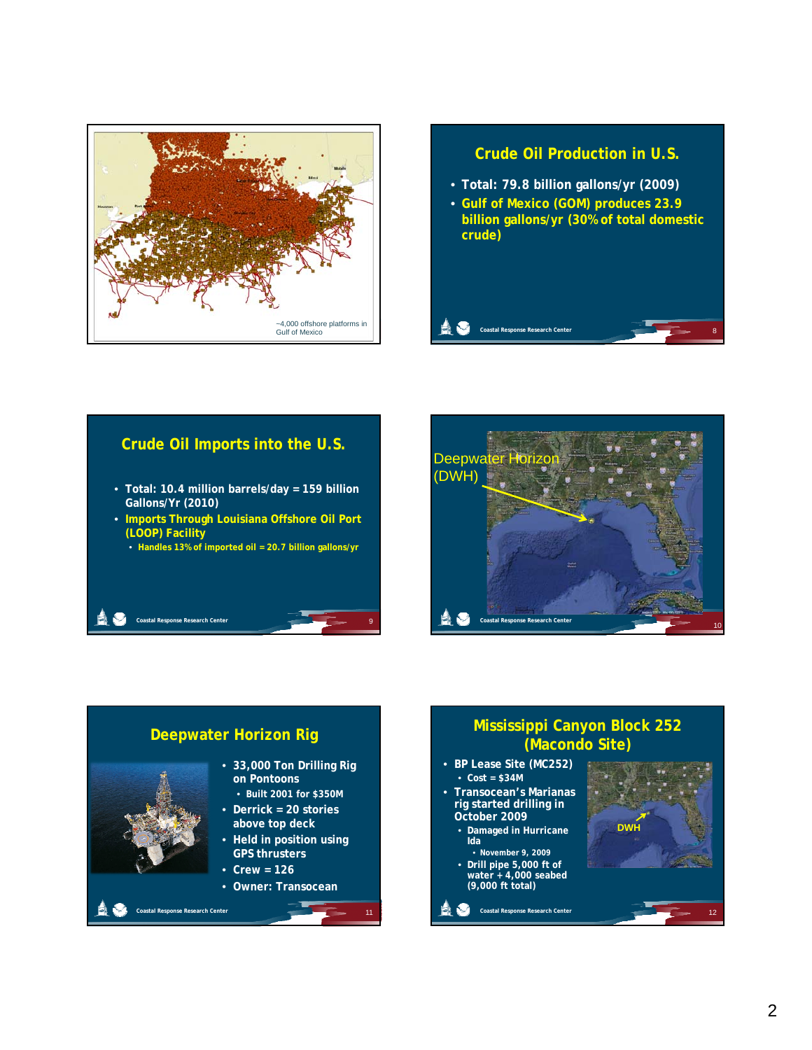

# **Crude Oil Production in U.S.** • **Total: 79.8 billion gallons/yr (2009)** • **Gulf of Mexico (GOM) produces 23.9 billion gallons/yr (30% of total domestic crude) Coastal Response Research Center**

# **Crude Oil Imports into the U.S.** • **Total: 10.4 million barrels/day = 159 billion Gallons/Yr (2010)** • **Imports Through Louisiana Offshore Oil Port p g Coastal Response Research Center (LOOP) Facility** • **Handles 13% of imported oil = 20.7 billion gallons/yr**





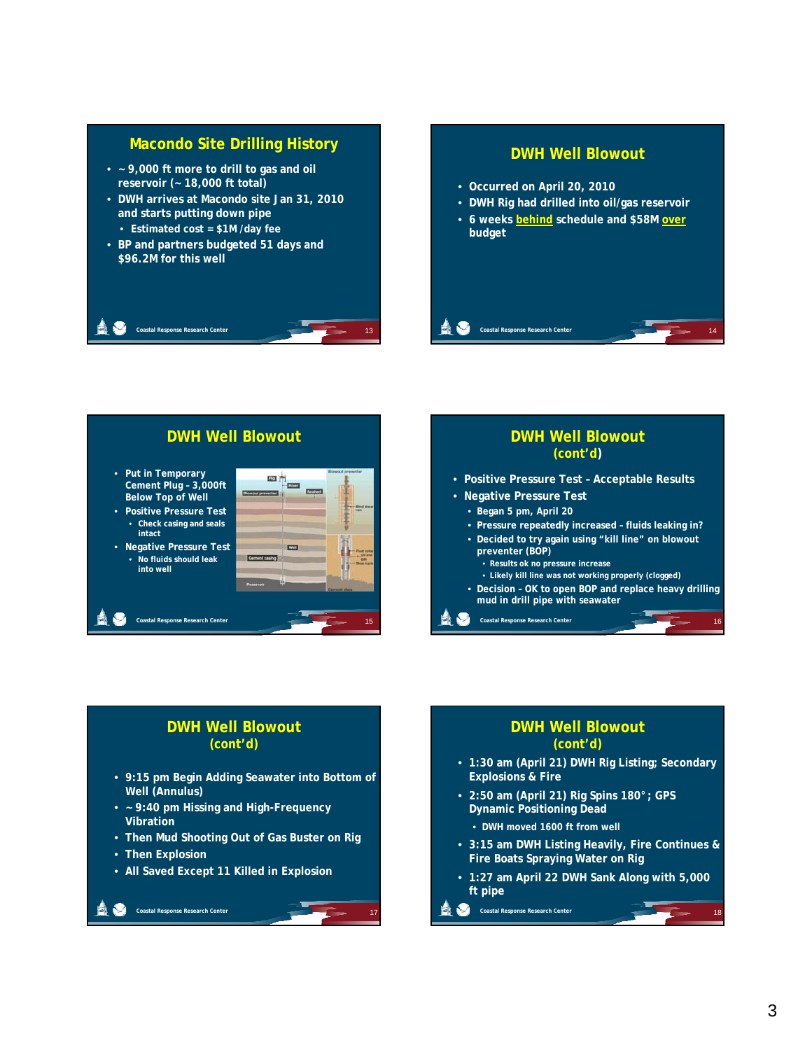





#### **DWH Well Blowout (cont'd)**

- **9:15 pm Begin Adding Seawater into Bottom of Well (Annulus)**
- **~ 9:40 pm Hissing and High-Frequency Vibration**
- **Then Mud Shooting Out of Gas Buster on Rig**

17

• **Then Explosion**

**Coastal Response Research Center** 

• **All Saved Except 11 Killed in Explosion**

#### **DWH Well Blowout (cont'd)**

- **1:30 am (April 21) DWH Rig Listing; Secondary Explosions & Fire**
- **2:50 am (April 21) Rig Spins 180°; GPS Dynamic Positioning Dead** 
	- **DWH moved 1600 ft from well**
- **3:15 am DWH Listing Heavily, Fire Continues & Fire Boats Spraying Water on Rig**
- **1:27 am April 22 DWH Sank Along with 5,000 ft pipe**

18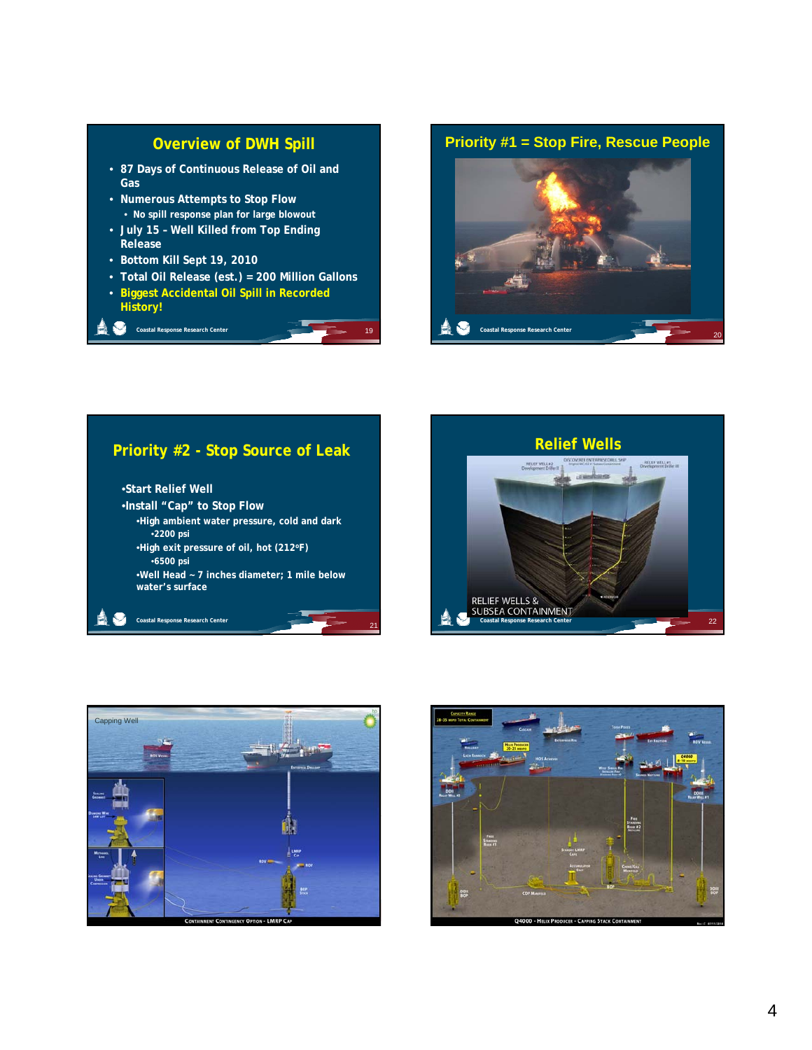#### **Overview of DWH Spill**

- **87 Days of Continuous Release of Oil and Gas**
- **Numerous Attempts to Stop Flow** • **No spill response plan for large blowout**
- **July 15 – Well Killed from Top Ending 5 lled o op d g Release**
- **Bottom Kill Sept 19, 2010**

**Coastal Response Research Center** 

**Coastal Response Research Center** 

• **Total Oil Release (est.) = 200 Million Gallons**

19

21

• **Biggest Accidental Oil Spill in Recorded History!**



20

### **Priority #2 - Stop Source of Leak**

•**Start Relief Well** •**Install "Cap" to Stop Flow** •**High ambient water pressure, cold and dark g p,** •**2200 psi** •**High exit pressure of oil, hot (212oF)** •**6500 psi** •**Well Head ~ 7 inches diameter; 1 mile below water's surface**





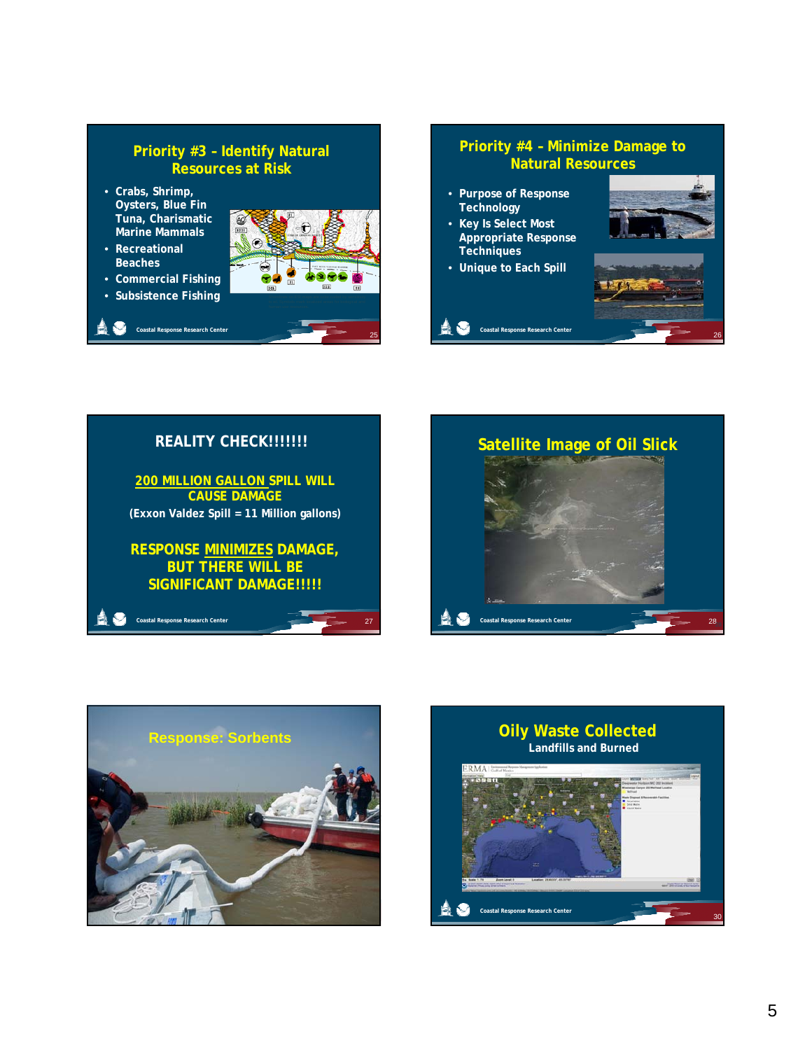#### **Priority #3 – Identify Natural Resources at Risk**

- **Crabs, Shrimp, Oysters, Blue Fin Tuna, Charismatic Marine Mammals**
- **Recreational Beaches**
- **Commercial Fishing**
- **Subsistence Fishing**



#### **Priority #4 – Minimize Damage to Natural Resources**

- **Purpose of Response Technology**
- **Key Is Select Most Appropriate Response Techniques**
- **Unique to Each Spill**

**Coastal Response Rese** 









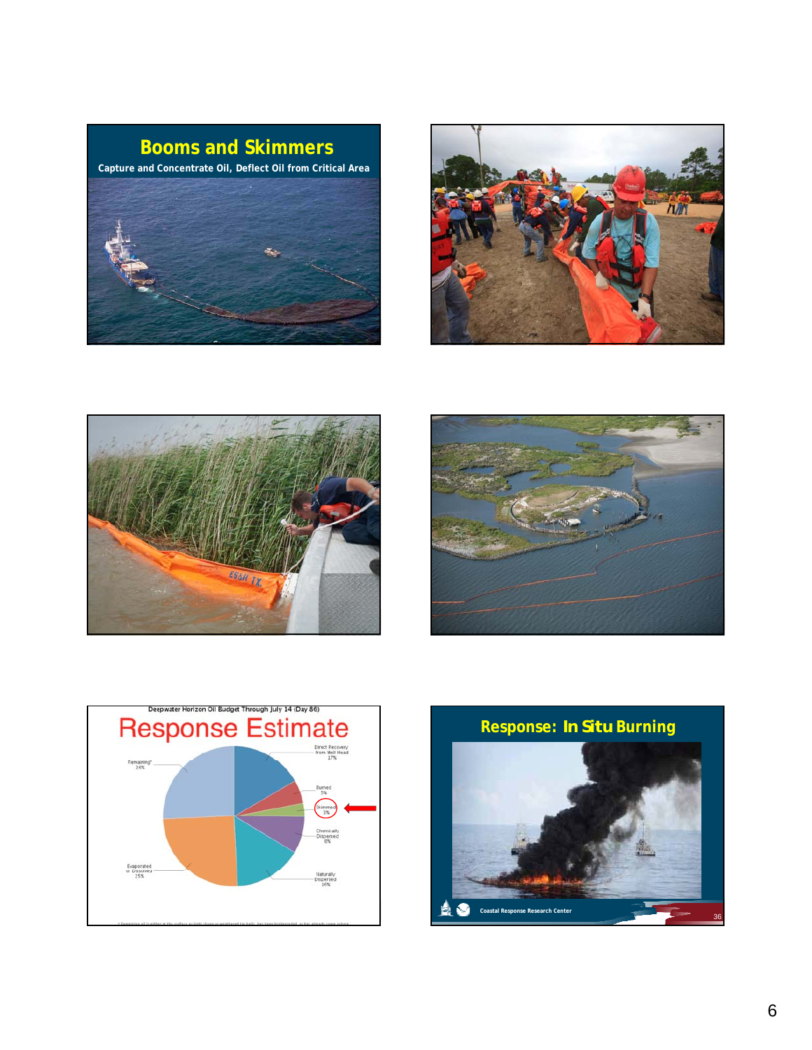

**Coastal Response Research Center**









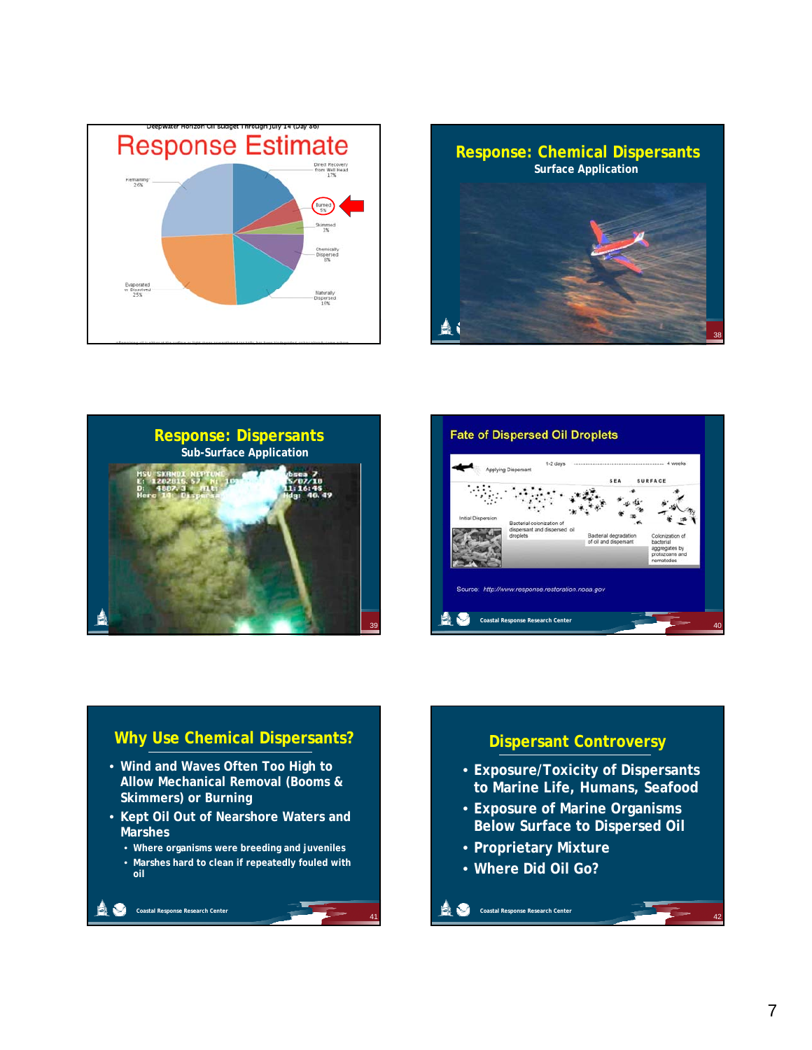







#### **Why Use Chemical Dispersants?** • **Wind and Waves Often Too High to Allow Mechanical Removal (Booms & Skimmers) or Burning** • **Kept Oil Out of Nearshore Waters and Coastal Response Research Center Marshes** • **Where organisms were breeding and juveniles** • **Marshes hard to clean if repeatedly fouled with oil**

41

## **Dispersant Controversy** • **Exposure/Toxicity of Dispersants to Marine Life, Humans, Seafood • Exposure of Marine Organisms Coastal Response Research Center Below Surface to Dispersed Oil** • **Proprietary Mixture** • **Where Did Oil Go?**

42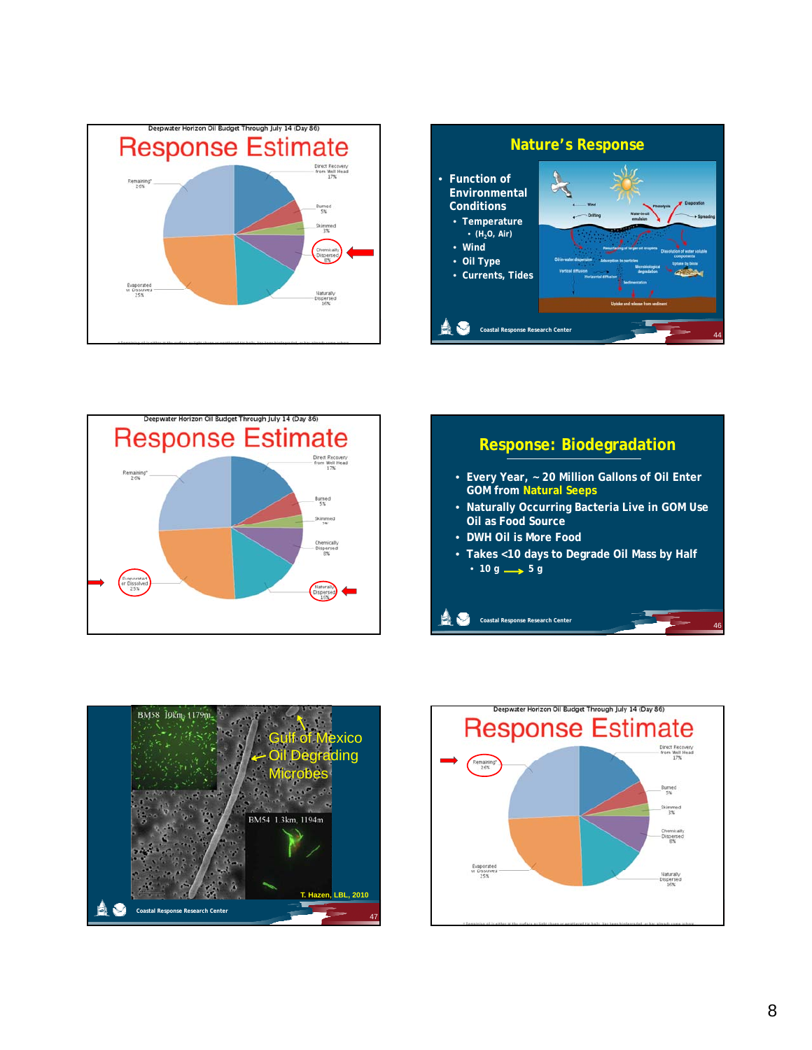









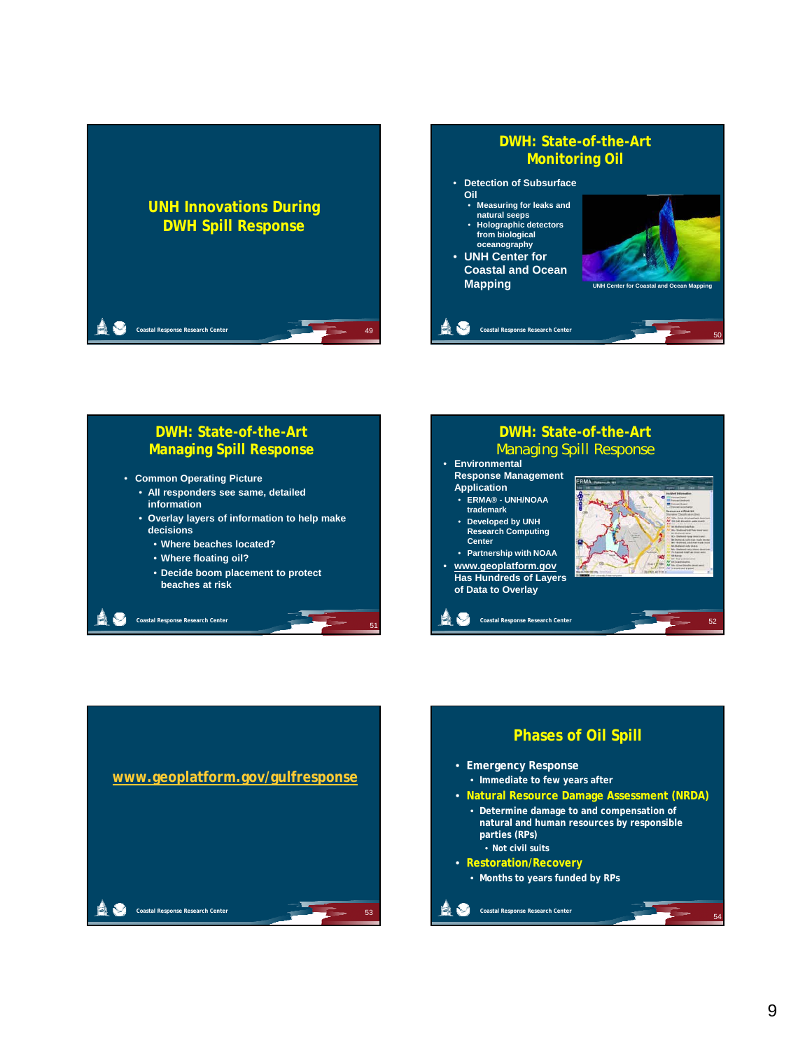



#### **DWH: State-of-the-Art Managing Spill Response**

- **Common Operating Picture**
	- **All responders see same, detailed information**
	- **Overlay layers of information to help make decisions**
		- **Where beaches located?**
		- **Where floating oil?**

**Coastal Response Research Center** 

• **Decide boom placement to protect beaches at risk**

#### • **Environmental Response Management Application** • **ERMA® - UNH/NOAA**  Managing Spill Response

**DWH: State-of-the-Art**

- **trademark**
- **•** Developed by UNH **Research Computing Center**
- **Partnership with NOAA**
- **www.geoplatform.gov Has Hundreds of Layers of Data to Overlay**

**Coastal Response Research Center** 

51

52



# **Phases of Oil Spill**

- **Emergency Response**
	- **Immediate to few years after**
- **Natural Resource Damage Assessment (NRDA) •** Determine damage to and compensation of **natural and human resources by responsible parties (RPs)** • **Not civil suits**
- **Restoration/Recovery**
	- **Months to years funded by RPs**

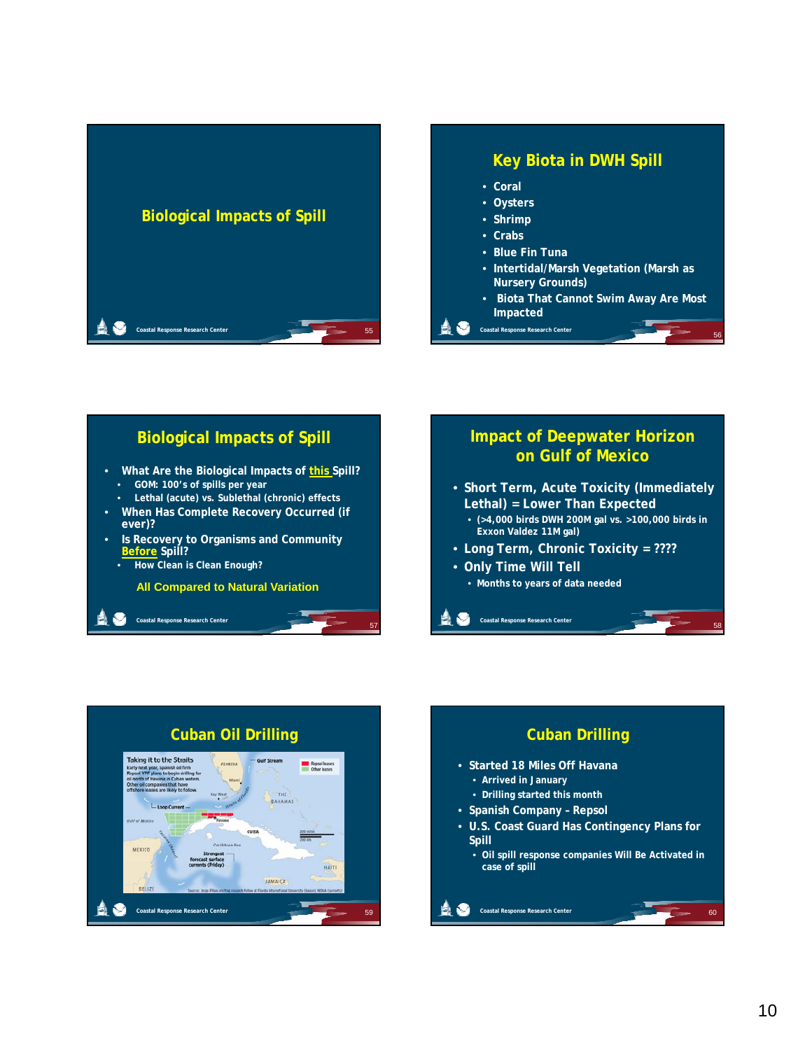



#### **Biological Impacts of Spill** • **What Are the Biological Impacts of this Spill?** • **GOM: 100's of spills per year** • **Lethal (acute) vs. Sublethal (chronic) effects** • **When Has Complete Recovery Occurred (if ever)?** • **Is Recovery to Organisms and Community Before Spill?** • **How Clean is Clean Enough? All Compared to Natural Variation**

57



**Coastal Response Research Center**



**Coastal Response Research Center**

A O



58